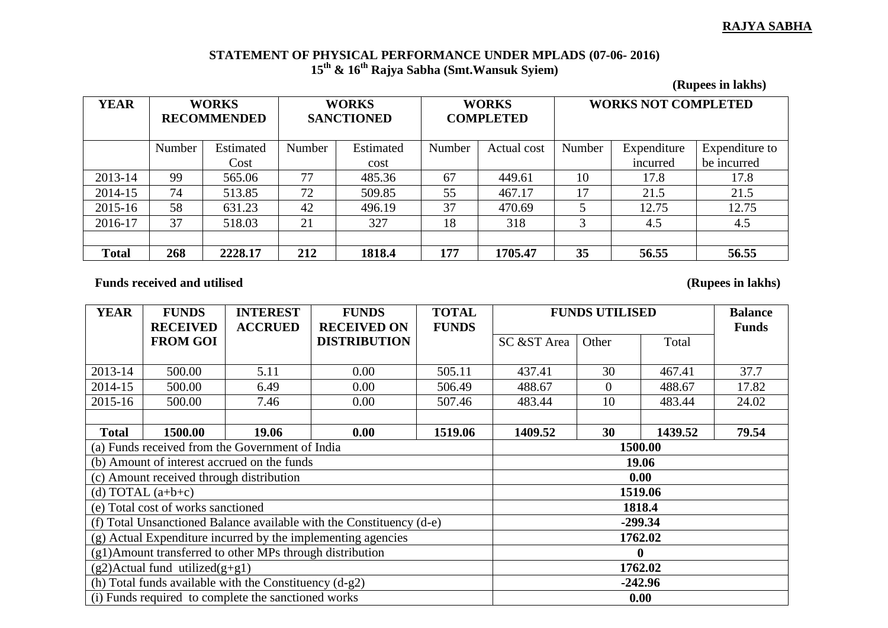## **RAJYA SABHA**

## **STATEMENT OF PHYSICAL PERFORMANCE UNDER MPLADS (07-06- 2016) 15th & 16th Rajya Sabha (Smt.Wansuk Syiem)**

**(Rupees in lakhs)**

| <b>YEAR</b>  | <b>WORKS</b><br><b>RECOMMENDED</b> |           | <b>WORKS</b><br><b>SANCTIONED</b> |           | <b>WORKS</b><br><b>COMPLETED</b> |             | <b>WORKS NOT COMPLETED</b> |             |                |
|--------------|------------------------------------|-----------|-----------------------------------|-----------|----------------------------------|-------------|----------------------------|-------------|----------------|
|              | Number                             | Estimated | Number                            | Estimated | Number                           | Actual cost | Number                     | Expenditure | Expenditure to |
|              |                                    | Cost      |                                   | cost      |                                  |             |                            | incurred    | be incurred    |
| 2013-14      | 99                                 | 565.06    | 77                                | 485.36    | 67                               | 449.61      | 10                         | 17.8        | 17.8           |
| 2014-15      | 74                                 | 513.85    | 72                                | 509.85    | 55                               | 467.17      | 17                         | 21.5        | 21.5           |
| 2015-16      | 58                                 | 631.23    | 42                                | 496.19    | 37                               | 470.69      |                            | 12.75       | 12.75          |
| 2016-17      | 37                                 | 518.03    | 21                                | 327       | 18                               | 318         |                            | 4.5         | 4.5            |
|              |                                    |           |                                   |           |                                  |             |                            |             |                |
| <b>Total</b> | 268                                | 2228.17   | 212                               | 1818.4    | 177                              | 1705.47     | 35                         | 56.55       | 56.55          |

Funds received and utilised (Rupees in lakhs)

| <b>YEAR</b>                                               | <b>FUNDS</b>                             | <b>INTEREST</b>                                                      | <b>FUNDS</b>        | <b>TOTAL</b> | <b>FUNDS UTILISED</b> |                |         | <b>Balance</b> |  |
|-----------------------------------------------------------|------------------------------------------|----------------------------------------------------------------------|---------------------|--------------|-----------------------|----------------|---------|----------------|--|
|                                                           | <b>RECEIVED</b>                          | <b>ACCRUED</b>                                                       | <b>RECEIVED ON</b>  | <b>FUNDS</b> |                       |                |         | <b>Funds</b>   |  |
|                                                           | <b>FROM GOI</b>                          |                                                                      | <b>DISTRIBUTION</b> |              | SC &ST Area           | Other          | Total   |                |  |
|                                                           |                                          |                                                                      |                     |              |                       |                |         |                |  |
| 2013-14                                                   | 500.00                                   | 5.11                                                                 | 0.00                | 505.11       | 437.41                | 30             | 467.41  | 37.7           |  |
| 2014-15                                                   | 500.00                                   | 6.49                                                                 | 0.00                | 506.49       | 488.67                | $\overline{0}$ | 488.67  | 17.82          |  |
| 2015-16                                                   | 500.00                                   | 7.46                                                                 | 0.00                | 507.46       | 483.44                | 10             | 483.44  | 24.02          |  |
|                                                           |                                          |                                                                      |                     |              |                       |                |         |                |  |
| <b>Total</b>                                              | 1500.00                                  | 19.06                                                                | 0.00                | 1519.06      | 1409.52               | 30             | 1439.52 | 79.54          |  |
|                                                           |                                          | (a) Funds received from the Government of India                      | 1500.00             |              |                       |                |         |                |  |
|                                                           |                                          | (b) Amount of interest accrued on the funds                          | 19.06               |              |                       |                |         |                |  |
|                                                           | (c) Amount received through distribution |                                                                      | 0.00                |              |                       |                |         |                |  |
|                                                           | (d) TOTAL $(a+b+c)$                      |                                                                      | 1519.06             |              |                       |                |         |                |  |
|                                                           | (e) Total cost of works sanctioned       |                                                                      | 1818.4              |              |                       |                |         |                |  |
|                                                           |                                          | (f) Total Unsanctioned Balance available with the Constituency (d-e) | $-299.34$           |              |                       |                |         |                |  |
|                                                           |                                          | (g) Actual Expenditure incurred by the implementing agencies         | 1762.02             |              |                       |                |         |                |  |
| (g1) Amount transferred to other MPs through distribution |                                          |                                                                      |                     |              |                       |                |         |                |  |
|                                                           | $(g2)$ Actual fund utilized $(g+g1)$     |                                                                      | 1762.02             |              |                       |                |         |                |  |
|                                                           |                                          | (h) Total funds available with the Constituency $(d-g2)$             | $-242.96$           |              |                       |                |         |                |  |
|                                                           |                                          | (i) Funds required to complete the sanctioned works                  | 0.00                |              |                       |                |         |                |  |